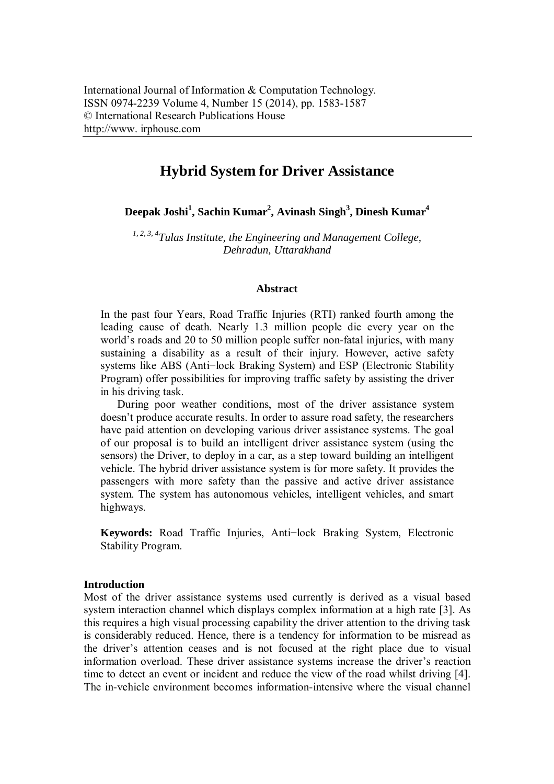# **Hybrid System for Driver Assistance**

**Deepak Joshi<sup>1</sup> , Sachin Kumar<sup>2</sup> , Avinash Singh<sup>3</sup> , Dinesh Kumar<sup>4</sup>**

*1, 2, 3, 4 Tulas Institute, the Engineering and Management College, Dehradun, Uttarakhand*

#### **Abstract**

In the past four Years, Road Traffic Injuries (RTI) ranked fourth among the leading cause of death. Nearly 1.3 million people die every year on the world's roads and 20 to 50 million people suffer non-fatal injuries, with many sustaining a disability as a result of their injury. However, active safety systems like ABS (Anti−lock Braking System) and ESP (Electronic Stability Program) offer possibilities for improving traffic safety by assisting the driver in his driving task.

During poor weather conditions, most of the driver assistance system doesn't produce accurate results. In order to assure road safety, the researchers have paid attention on developing various driver assistance systems. The goal of our proposal is to build an intelligent driver assistance system (using the sensors) the Driver, to deploy in a car, as a step toward building an intelligent vehicle. The hybrid driver assistance system is for more safety. It provides the passengers with more safety than the passive and active driver assistance system. The system has autonomous vehicles, intelligent vehicles, and smart highways.

**Keywords:** Road Traffic Injuries, Anti−lock Braking System, Electronic Stability Program.

## **Introduction**

Most of the driver assistance systems used currently is derived as a visual based system interaction channel which displays complex information at a high rate [3]. As this requires a high visual processing capability the driver attention to the driving task is considerably reduced. Hence, there is a tendency for information to be misread as the driver's attention ceases and is not focused at the right place due to visual information overload. These driver assistance systems increase the driver's reaction time to detect an event or incident and reduce the view of the road whilst driving [4]. The in-vehicle environment becomes information-intensive where the visual channel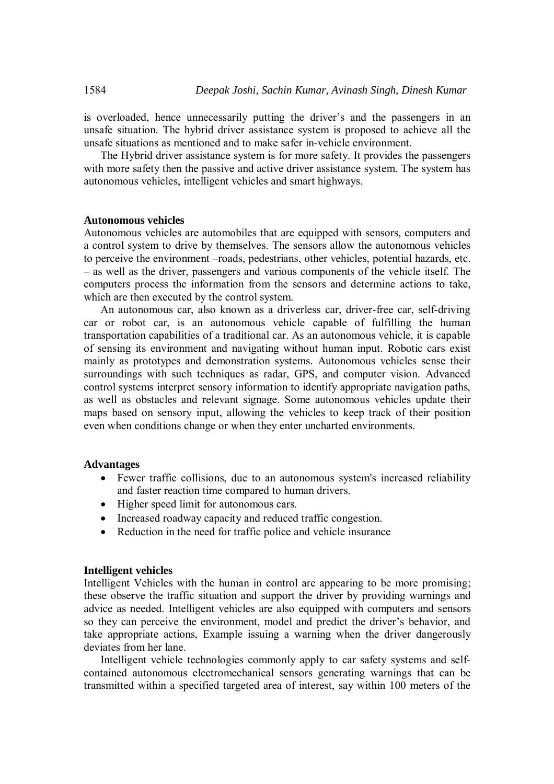is overloaded, hence unnecessarily putting the driver's and the passengers in an unsafe situation. The hybrid driver assistance system is proposed to achieve all the unsafe situations as mentioned and to make safer in-vehicle environment.

The Hybrid driver assistance system is for more safety. It provides the passengers with more safety then the passive and active driver assistance system. The system has autonomous vehicles, intelligent vehicles and smart highways.

# **Autonomous vehicles**

Autonomous vehicles are automobiles that are equipped with sensors, computers and a control system to drive by themselves. The sensors allow the autonomous vehicles to perceive the environment –roads, pedestrians, other vehicles, potential hazards, etc. – as well as the driver, passengers and various components of the vehicle itself. The computers process the information from the sensors and determine actions to take, which are then executed by the control system.

An autonomous car, also known as a driverless car, driver-free car, self-driving car or robot car, is an autonomous vehicle capable of fulfilling the human transportation capabilities of a traditional car. As an autonomous vehicle, it is capable of sensing its environment and navigating without human input. Robotic cars exist mainly as prototypes and demonstration systems. Autonomous vehicles sense their surroundings with such techniques as radar, GPS, and computer vision. Advanced control systems interpret sensory information to identify appropriate navigation paths, as well as obstacles and relevant signage. Some autonomous vehicles update their maps based on sensory input, allowing the vehicles to keep track of their position even when conditions change or when they enter uncharted environments.

## **Advantages**

- Fewer traffic collisions, due to an autonomous system's increased reliability and faster reaction time compared to human drivers.
- Higher speed limit for autonomous cars.
- Increased roadway capacity and reduced traffic congestion.
- Reduction in the need for traffic police and vehicle insurance

## **Intelligent vehicles**

Intelligent Vehicles with the human in control are appearing to be more promising; these observe the traffic situation and support the driver by providing warnings and advice as needed. Intelligent vehicles are also equipped with computers and sensors so they can perceive the environment, model and predict the driver's behavior, and take appropriate actions, Example issuing a warning when the driver dangerously deviates from her lane.

Intelligent vehicle technologies commonly apply to car safety systems and selfcontained autonomous electromechanical sensors generating warnings that can be transmitted within a specified targeted area of interest, say within 100 meters of the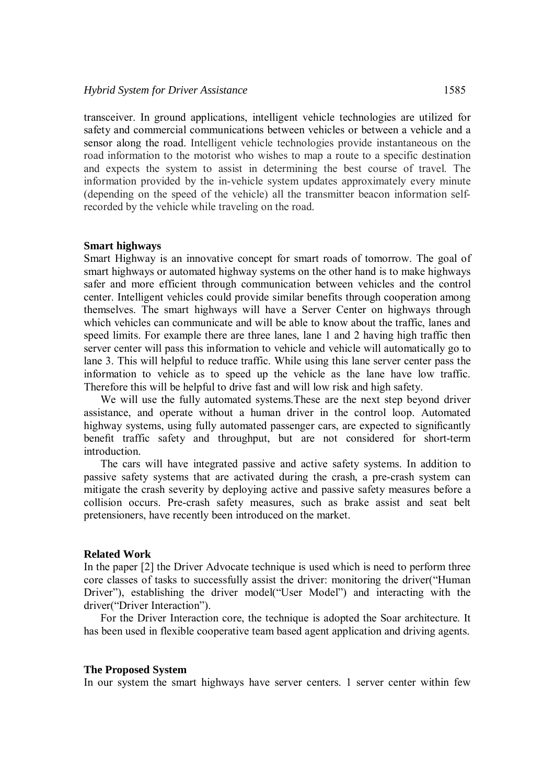transceiver. In ground applications, intelligent vehicle technologies are utilized for safety and commercial communications between vehicles or between a vehicle and a sensor along the road. Intelligent vehicle technologies provide instantaneous on the road information to the motorist who wishes to map a route to a specific destination and expects the system to assist in determining the best course of travel. The information provided by the in-vehicle system updates approximately every minute (depending on the speed of the vehicle) all the transmitter beacon information selfrecorded by the vehicle while traveling on the road.

#### **Smart highways**

Smart Highway is an innovative concept for smart roads of tomorrow. The goal of smart highways or automated highway systems on the other hand is to make highways safer and more efficient through communication between vehicles and the control center. Intelligent vehicles could provide similar benefits through cooperation among themselves. The smart highways will have a Server Center on highways through which vehicles can communicate and will be able to know about the traffic, lanes and speed limits. For example there are three lanes, lane 1 and 2 having high traffic then server center will pass this information to vehicle and vehicle will automatically go to lane 3. This will helpful to reduce traffic. While using this lane server center pass the information to vehicle as to speed up the vehicle as the lane have low traffic. Therefore this will be helpful to drive fast and will low risk and high safety.

We will use the fully automated systems.These are the next step beyond driver assistance, and operate without a human driver in the control loop. Automated highway systems, using fully automated passenger cars, are expected to significantly benefit traffic safety and throughput, but are not considered for short-term introduction.

The cars will have integrated passive and active safety systems. In addition to passive safety systems that are activated during the crash, a pre-crash system can mitigate the crash severity by deploying active and passive safety measures before a collision occurs. Pre-crash safety measures, such as brake assist and seat belt pretensioners, have recently been introduced on the market.

## **Related Work**

In the paper [2] the Driver Advocate technique is used which is need to perform three core classes of tasks to successfully assist the driver: monitoring the driver("Human Driver"), establishing the driver model("User Model") and interacting with the driver("Driver Interaction").

For the Driver Interaction core, the technique is adopted the Soar architecture. It has been used in flexible cooperative team based agent application and driving agents.

#### **The Proposed System**

In our system the smart highways have server centers. 1 server center within few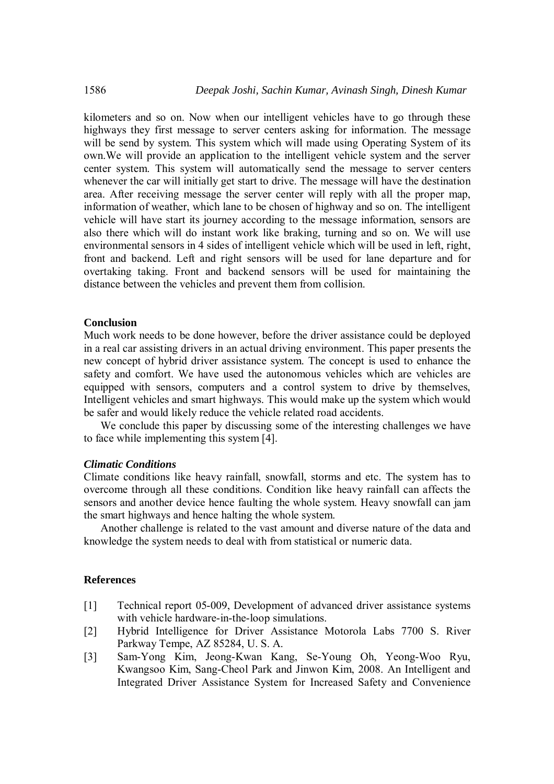kilometers and so on. Now when our intelligent vehicles have to go through these highways they first message to server centers asking for information. The message will be send by system. This system which will made using Operating System of its own.We will provide an application to the intelligent vehicle system and the server center system. This system will automatically send the message to server centers whenever the car will initially get start to drive. The message will have the destination area. After receiving message the server center will reply with all the proper map, information of weather, which lane to be chosen of highway and so on. The intelligent vehicle will have start its journey according to the message information, sensors are also there which will do instant work like braking, turning and so on. We will use environmental sensors in 4 sides of intelligent vehicle which will be used in left, right, front and backend. Left and right sensors will be used for lane departure and for overtaking taking. Front and backend sensors will be used for maintaining the distance between the vehicles and prevent them from collision.

## **Conclusion**

Much work needs to be done however, before the driver assistance could be deployed in a real car assisting drivers in an actual driving environment. This paper presents the new concept of hybrid driver assistance system. The concept is used to enhance the safety and comfort. We have used the autonomous vehicles which are vehicles are equipped with sensors, computers and a control system to drive by themselves, Intelligent vehicles and smart highways. This would make up the system which would be safer and would likely reduce the vehicle related road accidents.

We conclude this paper by discussing some of the interesting challenges we have to face while implementing this system [4].

## *Climatic Conditions*

Climate conditions like heavy rainfall, snowfall, storms and etc. The system has to overcome through all these conditions. Condition like heavy rainfall can affects the sensors and another device hence faulting the whole system. Heavy snowfall can jam the smart highways and hence halting the whole system.

Another challenge is related to the vast amount and diverse nature of the data and knowledge the system needs to deal with from statistical or numeric data.

## **References**

- [1] Technical report 05-009, Development of advanced driver assistance systems with vehicle hardware-in-the-loop simulations.
- [2] Hybrid Intelligence for Driver Assistance Motorola Labs 7700 S. River Parkway Tempe, AZ 85284, U. S. A.
- [3] Sam-Yong Kim, Jeong-Kwan Kang, Se-Young Oh, Yeong-Woo Ryu, Kwangsoo Kim, Sang-Cheol Park and Jinwon Kim, 2008. An Intelligent and Integrated Driver Assistance System for Increased Safety and Convenience